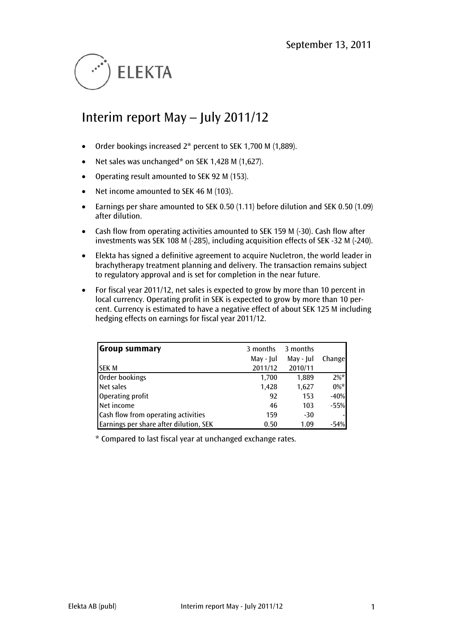

# Interim report May – July 2011/12

- Order bookings increased 2\* percent to SEK 1,700 M (1,889).
- Net sales was unchanged\* on SEK 1,428 M (1,627).
- Operating result amounted to SEK 92 M (153).
- Net income amounted to SEK 46 M (103).
- Earnings per share amounted to SEK 0.50 (1.11) before dilution and SEK 0.50 (1.09) after dilution.
- Cash flow from operating activities amounted to SEK 159 M (-30). Cash flow after investments was SEK 108 M (-285), including acquisition effects of SEK -32 M (-240).
- Elekta has signed a definitive agreement to acquire Nucletron, the world leader in brachytherapy treatment planning and delivery. The transaction remains subject to regulatory approval and is set for completion in the near future.
- For fiscal year 2011/12, net sales is expected to grow by more than 10 percent in local currency. Operating profit in SEK is expected to grow by more than 10 percent. Currency is estimated to have a negative effect of about SEK 125 M including hedging effects on earnings for fiscal year 2011/12.

| <b>Group summary</b>                   | 3 months  | 3 months  |         |
|----------------------------------------|-----------|-----------|---------|
|                                        | May - Jul | May - Jul | Changel |
| <b>SEK M</b>                           | 2011/12   | 2010/11   |         |
| Order bookings                         | 1,700     | 1,889     | $2\%*$  |
| Net sales                              | 1,428     | 1,627     | $0\%*$  |
| Operating profit                       | 92        | 153       | $-40%$  |
| Net income                             | 46        | 103       | $-55%$  |
| Cash flow from operating activities    | 159       | $-30$     |         |
| Earnings per share after dilution, SEK | 0.50      | 1.09      | $-54%$  |

\* Compared to last fiscal year at unchanged exchange rates.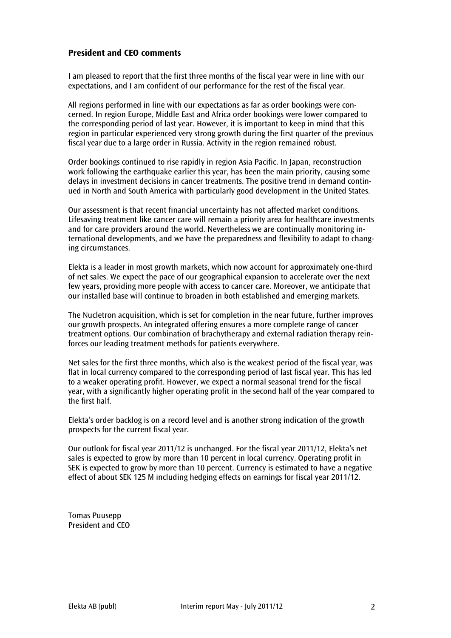## **President and CEO comments**

I am pleased to report that the first three months of the fiscal year were in line with our expectations, and I am confident of our performance for the rest of the fiscal year.

All regions performed in line with our expectations as far as order bookings were concerned. In region Europe, Middle East and Africa order bookings were lower compared to the corresponding period of last year. However, it is important to keep in mind that this region in particular experienced very strong growth during the first quarter of the previous fiscal year due to a large order in Russia. Activity in the region remained robust.

Order bookings continued to rise rapidly in region Asia Pacific. In Japan, reconstruction work following the earthquake earlier this year, has been the main priority, causing some delays in investment decisions in cancer treatments. The positive trend in demand continued in North and South America with particularly good development in the United States.

Our assessment is that recent financial uncertainty has not affected market conditions. Lifesaving treatment like cancer care will remain a priority area for healthcare investments and for care providers around the world. Nevertheless we are continually monitoring international developments, and we have the preparedness and flexibility to adapt to changing circumstances.

Elekta is a leader in most growth markets, which now account for approximately one-third of net sales. We expect the pace of our geographical expansion to accelerate over the next few years, providing more people with access to cancer care. Moreover, we anticipate that our installed base will continue to broaden in both established and emerging markets.

The Nucletron acquisition, which is set for completion in the near future, further improves our growth prospects. An integrated offering ensures a more complete range of cancer treatment options. Our combination of brachytherapy and external radiation therapy reinforces our leading treatment methods for patients everywhere.

Net sales for the first three months, which also is the weakest period of the fiscal year, was flat in local currency compared to the corresponding period of last fiscal year. This has led to a weaker operating profit. However, we expect a normal seasonal trend for the fiscal year, with a significantly higher operating profit in the second half of the year compared to the first half.

Elekta's order backlog is on a record level and is another strong indication of the growth prospects for the current fiscal year.

Our outlook for fiscal year 2011/12 is unchanged. For the fiscal year 2011/12, Elekta's net sales is expected to grow by more than 10 percent in local currency. Operating profit in SEK is expected to grow by more than 10 percent. Currency is estimated to have a negative effect of about SEK 125 M including hedging effects on earnings for fiscal year 2011/12.

Tomas Puusepp President and CEO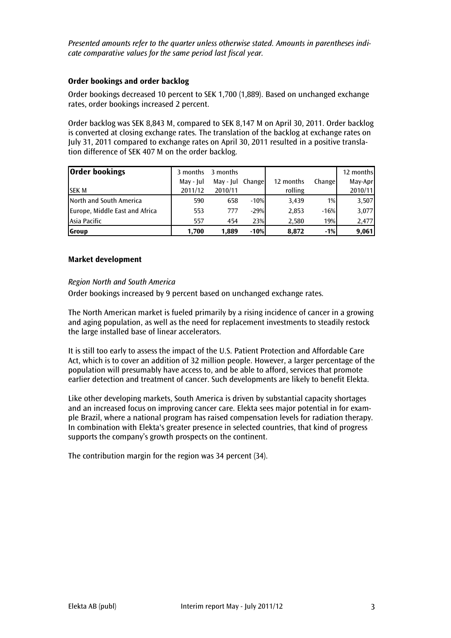*Presented amounts refer to the quarter unless otherwise stated. Amounts in parentheses indicate comparative values for the same period last fiscal year.*

#### **Order bookings and order backlog**

Order bookings decreased 10 percent to SEK 1,700 (1,889). Based on unchanged exchange rates, order bookings increased 2 percent.

Order backlog was SEK 8,843 M, compared to SEK 8,147 M on April 30, 2011. Order backlog is converted at closing exchange rates. The translation of the backlog at exchange rates on July 31, 2011 compared to exchange rates on April 30, 2011 resulted in a positive translation difference of SEK 407 M on the order backlog.

| <b>Order bookings</b>          | 3 months  | 3 months         |        |           |        | 12 months |
|--------------------------------|-----------|------------------|--------|-----------|--------|-----------|
|                                | May - Jul | May - Jul Change |        | 12 months | Change | May-Apr   |
| <b>SEKM</b>                    | 2011/12   | 2010/11          |        | rolling   |        | 2010/11   |
| North and South America        | 590       | 658              | $-10%$ | 3,439     | 1%     | 3,507     |
| Europe, Middle East and Africa | 553       | 777              | $-29%$ | 2,853     | $-16%$ | 3,077     |
| lAsia Pacific                  | 557       | 454              | 23%    | 2,580     | 19%    | 2,477     |
| <b>Group</b>                   | 1,700     | 1,889            | $-10%$ | 8.872     | $-1%$  | 9,061     |

#### **Market development**

#### *Region North and South America*

Order bookings increased by 9 percent based on unchanged exchange rates.

The North American market is fueled primarily by a rising incidence of cancer in a growing and aging population, as well as the need for replacement investments to steadily restock the large installed base of linear accelerators.

It is still too early to assess the impact of the U.S. Patient Protection and Affordable Care Act, which is to cover an addition of 32 million people. However, a larger percentage of the population will presumably have access to, and be able to afford, services that promote earlier detection and treatment of cancer. Such developments are likely to benefit Elekta.

Like other developing markets, South America is driven by substantial capacity shortages and an increased focus on improving cancer care. Elekta sees major potential in for example Brazil, where a national program has raised compensation levels for radiation therapy. In combination with Elekta's greater presence in selected countries, that kind of progress supports the company's growth prospects on the continent.

The contribution margin for the region was 34 percent (34).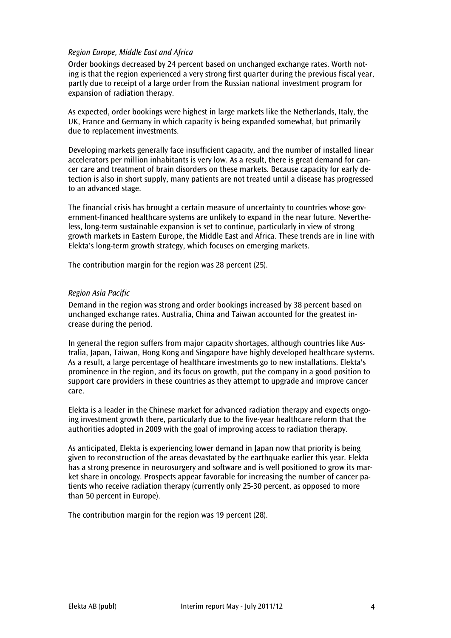#### *Region Europe, Middle East and Africa*

Order bookings decreased by 24 percent based on unchanged exchange rates. Worth noting is that the region experienced a very strong first quarter during the previous fiscal year, partly due to receipt of a large order from the Russian national investment program for expansion of radiation therapy.

As expected, order bookings were highest in large markets like the Netherlands, Italy, the UK, France and Germany in which capacity is being expanded somewhat, but primarily due to replacement investments.

Developing markets generally face insufficient capacity, and the number of installed linear accelerators per million inhabitants is very low. As a result, there is great demand for cancer care and treatment of brain disorders on these markets. Because capacity for early detection is also in short supply, many patients are not treated until a disease has progressed to an advanced stage.

The financial crisis has brought a certain measure of uncertainty to countries whose government-financed healthcare systems are unlikely to expand in the near future. Nevertheless, long-term sustainable expansion is set to continue, particularly in view of strong growth markets in Eastern Europe, the Middle East and Africa. These trends are in line with Elekta's long-term growth strategy, which focuses on emerging markets.

The contribution margin for the region was 28 percent (25).

#### *Region Asia Pacific*

Demand in the region was strong and order bookings increased by 38 percent based on unchanged exchange rates. Australia, China and Taiwan accounted for the greatest increase during the period.

In general the region suffers from major capacity shortages, although countries like Australia, Japan, Taiwan, Hong Kong and Singapore have highly developed healthcare systems. As a result, a large percentage of healthcare investments go to new installations. Elekta's prominence in the region, and its focus on growth, put the company in a good position to support care providers in these countries as they attempt to upgrade and improve cancer care.

Elekta is a leader in the Chinese market for advanced radiation therapy and expects ongoing investment growth there, particularly due to the five-year healthcare reform that the authorities adopted in 2009 with the goal of improving access to radiation therapy.

As anticipated, Elekta is experiencing lower demand in Japan now that priority is being given to reconstruction of the areas devastated by the earthquake earlier this year. Elekta has a strong presence in neurosurgery and software and is well positioned to grow its market share in oncology. Prospects appear favorable for increasing the number of cancer patients who receive radiation therapy (currently only 25-30 percent, as opposed to more than 50 percent in Europe).

The contribution margin for the region was 19 percent (28).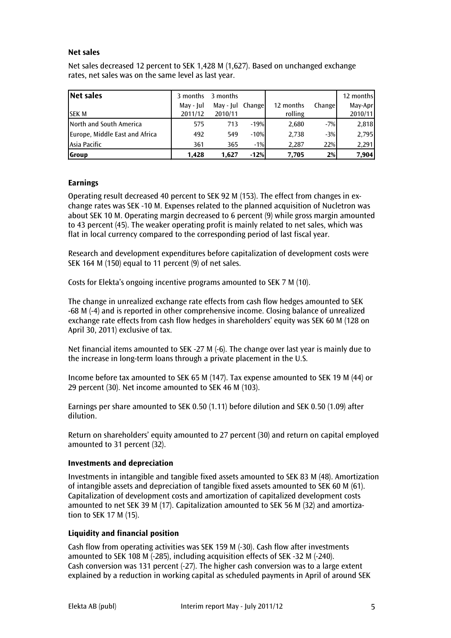#### **Net sales**

Net sales decreased 12 percent to SEK 1,428 M (1,627). Based on unchanged exchange rates, net sales was on the same level as last year.

| Net sales                      |           | 3 months 3 months |        |           |        | 12 months |
|--------------------------------|-----------|-------------------|--------|-----------|--------|-----------|
|                                | May - Jul | May - Jul Change  |        | 12 months | Change | May-Apr   |
| <b>ISEK M</b>                  | 2011/12   | 2010/11           |        | rolling   |        | 2010/11   |
| North and South America        | 575       | 713               | $-19%$ | 2,680     | $-7%$  | 2,818     |
| Europe, Middle East and Africa | 492       | 549               | $-10%$ | 2.738     | $-3%$  | 2,795     |
| Asia Pacific                   | 361       | 365               | $-1%$  | 2.287     | 22%    | 2,291     |
| <b>Scroup</b>                  | 1.428     | 1.627             | $-12%$ | 7.705     | 2%     | 7,904     |

#### **Earnings**

Operating result decreased 40 percent to SEK 92 M (153). The effect from changes in exchange rates was SEK -10 M. Expenses related to the planned acquisition of Nucletron was about SEK 10 M. Operating margin decreased to 6 percent (9) while gross margin amounted to 43 percent (45). The weaker operating profit is mainly related to net sales, which was flat in local currency compared to the corresponding period of last fiscal year.

Research and development expenditures before capitalization of development costs were SEK 164 M (150) equal to 11 percent (9) of net sales.

Costs for Elekta's ongoing incentive programs amounted to SEK 7 M (10).

The change in unrealized exchange rate effects from cash flow hedges amounted to SEK -68 M (-4) and is reported in other comprehensive income. Closing balance of unrealized exchange rate effects from cash flow hedges in shareholders' equity was SEK 60 M (128 on April 30, 2011) exclusive of tax.

Net financial items amounted to SEK -27 M (-6). The change over last year is mainly due to the increase in long-term loans through a private placement in the U.S.

Income before tax amounted to SEK 65 M (147). Tax expense amounted to SEK 19 M (44) or 29 percent (30). Net income amounted to SEK 46 M (103).

Earnings per share amounted to SEK 0.50 (1.11) before dilution and SEK 0.50 (1.09) after dilution.

Return on shareholders' equity amounted to 27 percent (30) and return on capital employed amounted to 31 percent (32).

#### **Investments and depreciation**

Investments in intangible and tangible fixed assets amounted to SEK 83 M (48). Amortization of intangible assets and depreciation of tangible fixed assets amounted to SEK 60 M (61). Capitalization of development costs and amortization of capitalized development costs amounted to net SEK 39 M (17). Capitalization amounted to SEK 56 M (32) and amortization to SEK 17 M (15).

#### **Liquidity and financial position**

Cash flow from operating activities was SEK 159 M (-30). Cash flow after investments amounted to SEK 108 M (-285), including acquisition effects of SEK -32 M (-240). Cash conversion was 131 percent (-27). The higher cash conversion was to a large extent explained by a reduction in working capital as scheduled payments in April of around SEK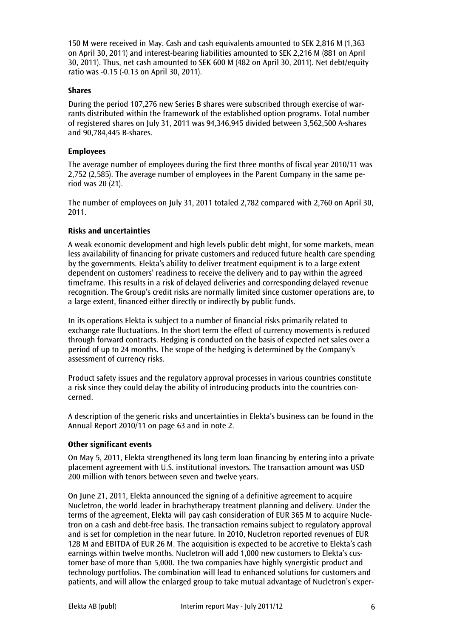150 M were received in May. Cash and cash equivalents amounted to SEK 2,816 M (1,363 on April 30, 2011) and interest-bearing liabilities amounted to SEK 2,216 M (881 on April 30, 2011). Thus, net cash amounted to SEK 600 M (482 on April 30, 2011). Net debt/equity ratio was -0.15 (-0.13 on April 30, 2011).

#### **Shares**

During the period 107,276 new Series B shares were subscribed through exercise of warrants distributed within the framework of the established option programs. Total number of registered shares on July 31, 2011 was 94,346,945 divided between 3,562,500 A-shares and 90,784,445 B-shares.

#### **Employees**

The average number of employees during the first three months of fiscal year 2010/11 was 2,752 (2,585). The average number of employees in the Parent Company in the same period was 20 (21).

The number of employees on July 31, 2011 totaled 2,782 compared with 2,760 on April 30, 2011.

#### **Risks and uncertainties**

A weak economic development and high levels public debt might, for some markets, mean less availability of financing for private customers and reduced future health care spending by the governments. Elekta's ability to deliver treatment equipment is to a large extent dependent on customers' readiness to receive the delivery and to pay within the agreed timeframe. This results in a risk of delayed deliveries and corresponding delayed revenue recognition. The Group's credit risks are normally limited since customer operations are, to a large extent, financed either directly or indirectly by public funds.

In its operations Elekta is subject to a number of financial risks primarily related to exchange rate fluctuations. In the short term the effect of currency movements is reduced through forward contracts. Hedging is conducted on the basis of expected net sales over a period of up to 24 months. The scope of the hedging is determined by the Company's assessment of currency risks.

Product safety issues and the regulatory approval processes in various countries constitute a risk since they could delay the ability of introducing products into the countries concerned.

A description of the generic risks and uncertainties in Elekta's business can be found in the Annual Report 2010/11 on page 63 and in note 2.

#### **Other significant events**

On May 5, 2011, Elekta strengthened its long term loan financing by entering into a private placement agreement with U.S. institutional investors. The transaction amount was USD 200 million with tenors between seven and twelve years.

On June 21, 2011, Elekta announced the signing of a definitive agreement to acquire Nucletron, the world leader in brachytherapy treatment planning and delivery. Under the terms of the agreement, Elekta will pay cash consideration of EUR 365 M to acquire Nucletron on a cash and debt-free basis. The transaction remains subject to regulatory approval and is set for completion in the near future. In 2010, Nucletron reported revenues of EUR 128 M and EBITDA of EUR 26 M. The acquisition is expected to be accretive to Elekta's cash earnings within twelve months. Nucletron will add 1,000 new customers to Elekta's customer base of more than 5,000. The two companies have highly synergistic product and technology portfolios. The combination will lead to enhanced solutions for customers and patients, and will allow the enlarged group to take mutual advantage of Nucletron's exper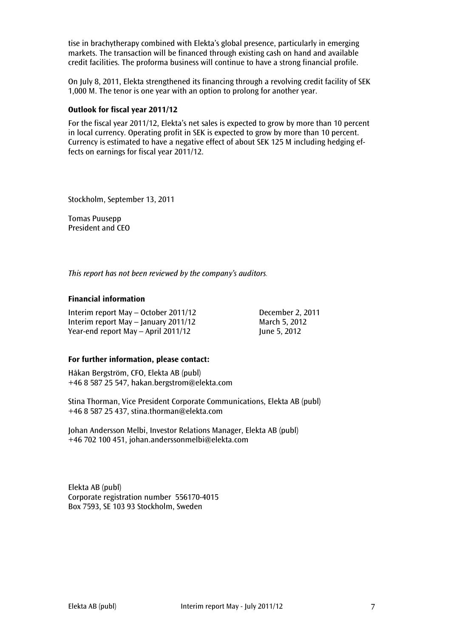tise in brachytherapy combined with Elekta's global presence, particularly in emerging markets. The transaction will be financed through existing cash on hand and available credit facilities. The proforma business will continue to have a strong financial profile.

On July 8, 2011, Elekta strengthened its financing through a revolving credit facility of SEK 1,000 M. The tenor is one year with an option to prolong for another year.

#### **Outlook for fiscal year 2011/12**

For the fiscal year 2011/12, Elekta's net sales is expected to grow by more than 10 percent in local currency. Operating profit in SEK is expected to grow by more than 10 percent. Currency is estimated to have a negative effect of about SEK 125 M including hedging effects on earnings for fiscal year 2011/12.

Stockholm, September 13, 2011

Tomas Puusepp President and CEO

*This report has not been reviewed by the company's auditors.*

#### **Financial information**

Interim report May – October 2011/12 December 2, 2011 Interim report May – January 2011/12 March 5, 2012 Year-end report May – April  $2011/12$  June 5, 2012

#### **For further information, please contact:**

Håkan Bergström, CFO, Elekta AB (publ) +46 8 587 25 547, hakan.bergstrom@elekta.com

Stina Thorman, Vice President Corporate Communications, Elekta AB (publ) +46 8 587 25 437, stina.thorman@elekta.com

Johan Andersson Melbi, Investor Relations Manager, Elekta AB (publ) +46 702 100 451, [johan.anderssonmelbi@elekta.com](mailto:johan.anderssonmelbi@elekta.com)

Elekta AB (publ) Corporate registration number 556170-4015 Box 7593, SE 103 93 Stockholm, Sweden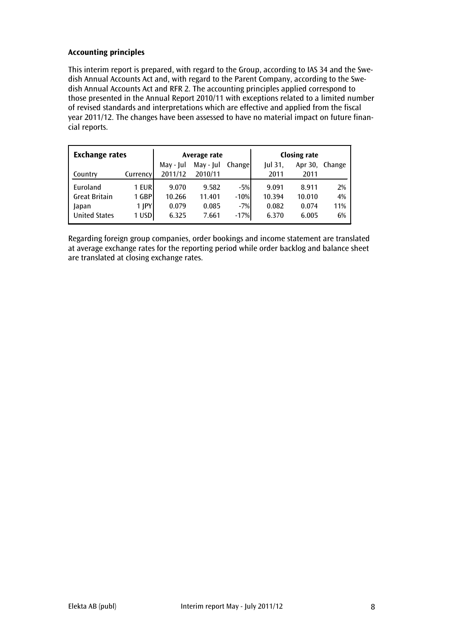# **Accounting principles**

This interim report is prepared, with regard to the Group, according to IAS 34 and the Swedish Annual Accounts Act and, with regard to the Parent Company, according to the Swedish Annual Accounts Act and RFR 2. The accounting principles applied correspond to those presented in the Annual Report 2010/11 with exceptions related to a limited number of revised standards and interpretations which are effective and applied from the fiscal year 2011/12. The changes have been assessed to have no material impact on future financial reports.

| <b>Exchange rates</b> |          |           | Average rate |        |                | <b>Closing rate</b> |        |
|-----------------------|----------|-----------|--------------|--------|----------------|---------------------|--------|
|                       |          | May - Jul | May - Jul    | Change | <b>Iul 31.</b> | Apr 30,             | Change |
| Country               | Currency | 2011/12   | 2010/11      |        | 2011           | 2011                |        |
| Euroland              | 1 EURI   | 9.070     | 9.582        | $-5%$  | 9.091          | 8.911               | 2%     |
| <b>Great Britain</b>  | 1 GBPI   | 10.266    | 11.401       | $-10%$ | 10.394         | 10.010              | 4%     |
| Japan                 | 1 JPY    | 0.079     | 0.085        | $-7%$  | 0.082          | 0.074               | 11%    |
| <b>United States</b>  | 1 USD    | 6.325     | 7.661        | $-17%$ | 6.370          | 6.005               | 6%     |

Regarding foreign group companies, order bookings and income statement are translated at average exchange rates for the reporting period while order backlog and balance sheet are translated at closing exchange rates.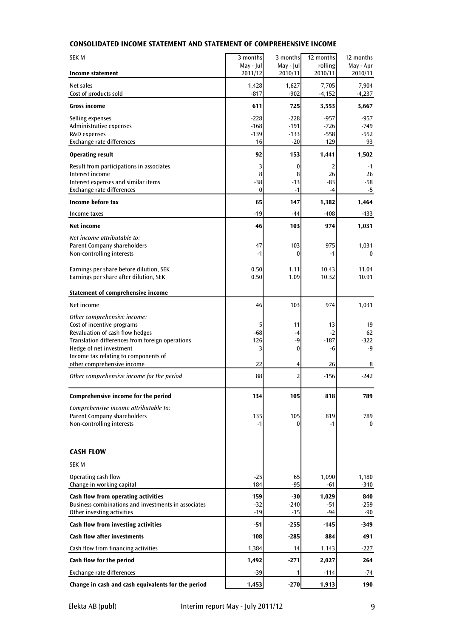## **CONSOLIDATED INCOME STATEMENT AND STATEMENT OF COMPREHENSIVE INCOME**

| <b>SEK M</b>                                                       | 3 months             | 3 months             | 12 months          | 12 months            |
|--------------------------------------------------------------------|----------------------|----------------------|--------------------|----------------------|
| Income statement                                                   | May - Jul<br>2011/12 | May - Jul<br>2010/11 | rolling<br>2010/11 | May - Apr<br>2010/11 |
| Net sales                                                          | 1,428                | 1,627                | 7,705              | 7,904                |
| Cost of products sold                                              | $-817$               | $-902$               | $-4,152$           | $-4,237$             |
| <b>Gross income</b>                                                | 611                  | 725                  | 3,553              | 3,667                |
| Selling expenses                                                   | $-228$               | $-228$               | $-957$             | $-957$               |
| Administrative expenses                                            | $-168$               | $-191$               | $-726$             | $-749$               |
| R&D expenses<br>Exchange rate differences                          | $-139$<br>16         | $-133$<br>$-20$      | $-558$<br>129      | $-552$<br>93         |
| <b>Operating result</b>                                            | 92                   | 153                  | 1,441              | 1,502                |
| Result from participations in associates                           | 3                    | 0                    | 2                  | $-1$                 |
| Interest income                                                    | 8                    | 8                    | 26                 | 26                   |
| Interest expenses and similar items                                | $-38$                | $-13$                | $-83$              | -58                  |
| Exchange rate differences                                          | $\bf{0}$             | $-1$                 | $-4$               | -5                   |
| Income before tax                                                  | 65                   | 147                  | 1,382              | 1,464                |
| Income taxes                                                       | $-19$                | -44                  | $-408$             | -433                 |
| <b>Net income</b>                                                  | 46                   | 103                  | 974                | 1,031                |
| Net income attributable to:                                        |                      |                      |                    |                      |
| Parent Company shareholders<br>Non-controlling interests           | 47<br>$-1$           | 103<br>$\bf{0}$      | 975<br>$-1$        | 1,031<br>$\bf{0}$    |
|                                                                    |                      |                      |                    |                      |
| Earnings per share before dilution, SEK                            | 0.50                 | 1.11                 | 10.43              | 11.04                |
| Earnings per share after dilution, SEK                             | 0.50                 | 1.09                 | 10.32              | 10.91                |
| Statement of comprehensive income                                  |                      |                      |                    |                      |
| Net income                                                         | 46                   | 103                  | 974                | 1,031                |
| Other comprehensive income:                                        |                      |                      |                    |                      |
| Cost of incentive programs<br>Revaluation of cash flow hedges      | 5<br>-68             | 11<br>$-4$           | 13<br>$-2$         | 19<br>62             |
| Translation differences from foreign operations                    | 126                  | $-9$                 | $-187$             | $-322$               |
| Hedge of net investment                                            | 3                    | 0                    | -6                 | $-9$                 |
| Income tax relating to components of<br>other comprehensive income | 22                   |                      | 26                 |                      |
|                                                                    |                      | 4                    |                    | 8                    |
| Other comprehensive income for the period                          | 88                   | $\overline{2}$       | $-156$             | $-242$               |
| Comprehensive income for the period                                | 134                  | 105                  | 818                | 789                  |
| Comprehensive income attributable to:                              |                      |                      |                    |                      |
| Parent Company shareholders                                        | 135                  | 105<br>$\Omega$      | 819<br>$-1$        | 789                  |
| Non-controlling interests                                          | $-1$                 |                      |                    | $\bf{0}$             |
|                                                                    |                      |                      |                    |                      |
| <b>CASH FLOW</b>                                                   |                      |                      |                    |                      |
| <b>SEK M</b>                                                       |                      |                      |                    |                      |
| Operating cash flow<br>Change in working capital                   | $-25$<br>184         | 65<br>$-95$          | 1,090<br>$-61$     | 1,180<br>$-340$      |
| Cash flow from operating activities                                | 159                  | $-30$                | 1,029              | 840                  |
| Business combinations and investments in associates                | $-32$                | $-240$               | $-51$              | $-259$               |
| Other investing activities                                         | $-19$                | $-15$                | $-94$              | -90                  |
| Cash flow from investing activities                                | -51                  | $-255$               | $-145$             | -349                 |
| <b>Cash flow after investments</b>                                 | 108                  | $-285$               | 884                | 491                  |
| Cash flow from financing activities                                | 1,384                | 14                   | 1,143              | $-227$               |
| Cash flow for the period                                           | 1,492                | $-271$               | 2,027              | 264                  |
| Exchange rate differences                                          | $-39$                | 1                    | $-114$             | -74                  |
| Change in cash and cash equivalents for the period                 | 1,453                | $-270$               | 1,913              | 190                  |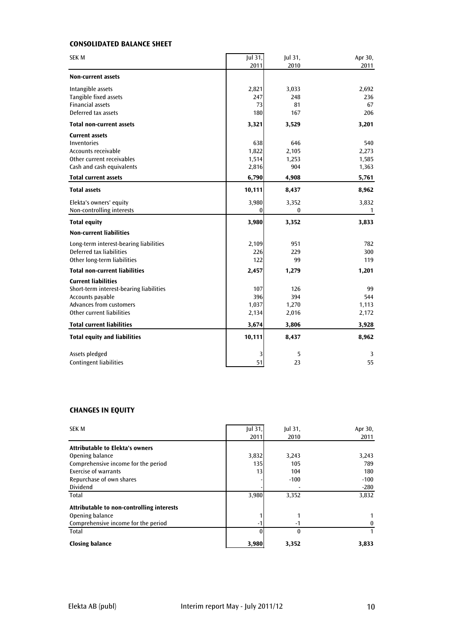## **CONSOLIDATED BALANCE SHEET**

| <b>SEK M</b>                            | Jul 31,<br>2011 | Jul 31,<br>2010 | Apr 30,<br>2011 |
|-----------------------------------------|-----------------|-----------------|-----------------|
| <b>Non-current assets</b>               |                 |                 |                 |
| Intangible assets                       | 2,821           | 3,033           | 2,692           |
| Tangible fixed assets                   | 247             | 248             | 236             |
| <b>Financial assets</b>                 | 73              | 81              | 67              |
| Deferred tax assets                     | 180             | 167             | 206             |
| <b>Total non-current assets</b>         | 3,321           | 3,529           | 3,201           |
| <b>Current assets</b>                   |                 |                 |                 |
| Inventories                             | 638             | 646             | 540             |
| Accounts receivable                     | 1,822           | 2,105           | 2,273           |
| Other current receivables               | 1,514           | 1,253           | 1,585           |
| Cash and cash equivalents               | 2,816           | 904             | 1,363           |
| <b>Total current assets</b>             | 6,790           | 4,908           | 5,761           |
| <b>Total assets</b>                     | 10,111          | 8,437           | 8,962           |
| Elekta's owners' equity                 | 3,980           | 3,352           | 3,832           |
| Non-controlling interests               | $\theta$        | $\bf{0}$        | $\overline{1}$  |
| <b>Total equity</b>                     | 3,980           | 3,352           | 3,833           |
| <b>Non-current liabilities</b>          |                 |                 |                 |
| Long-term interest-bearing liabilities  | 2,109           | 951             | 782             |
| Deferred tax liabilities                | 226             | 229             | 300             |
| Other long-term liabilities             | 122             | 99              | 119             |
| <b>Total non-current liabilities</b>    | 2,457           | 1,279           | 1,201           |
| <b>Current liabilities</b>              |                 |                 |                 |
| Short-term interest-bearing liabilities | 107             | 126             | 99              |
| Accounts payable                        | 396             | 394             | 544             |
| <b>Advances from customers</b>          | 1,037           | 1,270           | 1,113           |
| Other current liabilities               | 2,134           | 2,016           | 2,172           |
| <b>Total current liabilities</b>        | 3,674           | 3,806           | 3,928           |
| <b>Total equity and liabilities</b>     | 10,111          | 8,437           | 8,962           |
| Assets pledged                          |                 | 5               | 3               |
| <b>Contingent liabilities</b>           | 51              | 23              | 55              |

#### **CHANGES IN EQUITY**

| <b>SEK M</b>                              | $ ul$ 31, | $ ul$ 31,        | Apr 30, |
|-------------------------------------------|-----------|------------------|---------|
|                                           | 2011      | 2010             | 2011    |
| <b>Attributable to Elekta's owners</b>    |           |                  |         |
| Opening balance                           | 3,832     | 3,243            | 3,243   |
| Comprehensive income for the period       | 135       | 105              | 789     |
| <b>Exercise of warrants</b>               | 13        | 104              | 180     |
| Repurchase of own shares                  |           | $-100$           | $-100$  |
| Dividend                                  |           |                  | $-280$  |
| Total                                     | 3,980     | 3,352            | 3,832   |
| Attributable to non-controlling interests |           |                  |         |
| Opening balance                           |           |                  |         |
| Comprehensive income for the period       | -1        | $-1$             | 0       |
| Total                                     |           | $\boldsymbol{0}$ |         |
| <b>Closing balance</b>                    | 3,980     | 3,352            | 3,833   |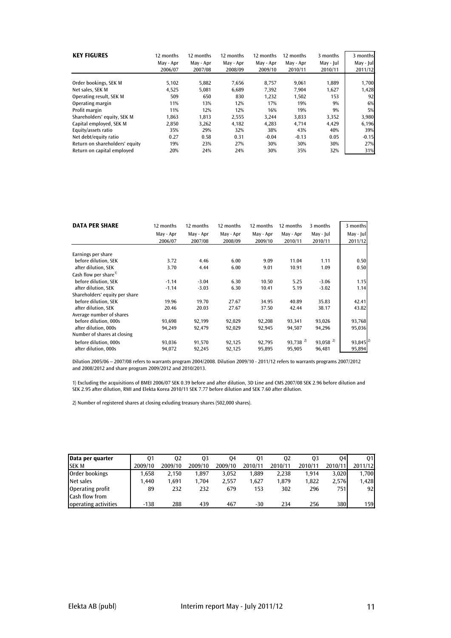| <b>KEY FIGURES</b>             | 12 months<br>May - Apr<br>2006/07 | 12 months<br>May - Apr<br>2007/08 | 12 months<br>May - Apr<br>2008/09 | 12 months<br>May - Apr<br>2009/10 | 12 months<br>May - Apr<br>2010/11 | 3 months<br>May - Jul<br>2010/11 | 3 months<br>May - Jul<br>2011/12 |
|--------------------------------|-----------------------------------|-----------------------------------|-----------------------------------|-----------------------------------|-----------------------------------|----------------------------------|----------------------------------|
| Order bookings, SEK M          | 5,102                             | 5,882                             | 7,656                             | 8,757                             | 9,061                             | 1,889                            | 1,700                            |
| Net sales, SEK M               | 4,525                             | 5,081                             | 6,689                             | 7,392                             | 7,904                             | 1,627                            | 1,428                            |
| Operating result, SEK M        | 509                               | 650                               | 830                               | 1,232                             | 1,502                             | 153                              | 92                               |
| Operating margin               | 11%                               | 13%                               | 12%                               | 17%                               | 19%                               | 9%                               | 6%                               |
| Profit margin                  | 11%                               | 12%                               | 12%                               | 16%                               | 19%                               | 9%                               | 5%                               |
| Shareholders' equity, SEK M    | 1.863                             | 1.813                             | 2,555                             | 3.244                             | 3,833                             | 3,352                            | 3,980                            |
| Capital employed, SEK M        | 2,850                             | 3,262                             | 4,182                             | 4.283                             | 4.714                             | 4,429                            | 6,196                            |
| Equity/assets ratio            | 35%                               | 29%                               | 32%                               | 38%                               | 43%                               | 40%                              | 39%                              |
| Net debt/equity ratio          | 0.27                              | 0.58                              | 0.31                              | $-0.04$                           | $-0.13$                           | 0.05                             | $-0.15$                          |
| Return on shareholders' equity | 19%                               | 23%                               | 27%                               | 30%                               | 30%                               | 30%                              | 27%                              |
| Return on capital emploved     | 20%                               | 24%                               | 24%                               | 30%                               | 35%                               | 32%                              | 31%                              |

| <b>DATA PER SHARE</b>             | 12 months | 12 months | 12 months | 12 months | 12 months              | 3 months               | 3 months  |
|-----------------------------------|-----------|-----------|-----------|-----------|------------------------|------------------------|-----------|
|                                   | May - Apr | May - Apr | May - Apr | May - Apr | May - Apr              | May - Jul              | May - Jul |
|                                   | 2006/07   | 2007/08   | 2008/09   | 2009/10   | 2010/11                | 2010/11                | 2011/12   |
| Earnings per share                |           |           |           |           |                        |                        |           |
| before dilution, SEK              | 3.72      | 4.46      | 6.00      | 9.09      | 11.04                  | 1.11                   | 0.50      |
| after dilution, SEK               | 3.70      | 4.44      | 6.00      | 9.01      | 10.91                  | 1.09                   | 0.50      |
| Cash flow per share <sup>1)</sup> |           |           |           |           |                        |                        |           |
| before dilution, SEK              | $-1.14$   | $-3.04$   | 6.30      | 10.50     | 5.25                   | $-3.06$                | 1.15      |
| after dilution. SEK               | $-1.14$   | $-3.03$   | 6.30      | 10.41     | 5.19                   | $-3.02$                | 1.14      |
| Shareholders' equity per share    |           |           |           |           |                        |                        |           |
| before dilution. SEK              | 19.96     | 19.70     | 27.67     | 34.95     | 40.89                  | 35.83                  | 42.41     |
| after dilution, SEK               | 20.46     | 20.03     | 27.67     | 37.50     | 42.44                  | 38.17                  | 43.82     |
| Average number of shares          |           |           |           |           |                        |                        |           |
| before dilution, 000s             | 93,698    | 92,199    | 92,029    | 92,208    | 93,341                 | 93,026                 | 93,768    |
| after dilution, 000s              | 94,249    | 92,479    | 92,029    | 92,945    | 94,507                 | 94,296                 | 95,036    |
| Number of shares at closing       |           |           |           |           |                        |                        |           |
| before dilution, 000s             | 93,036    | 91,570    | 92,125    | 92,795    | $93,738$ <sup>2)</sup> | $93,058$ <sup>2)</sup> | 93,845    |
| after dilution, 000s              | 94,072    | 92,245    | 92,125    | 95,895    | 95,905                 | 96,481                 | 95,894    |

Dilution 2005/06 – 2007/08 refers to warrants program 2004/2008. Dilution 2009/10 - 2011/12 refers to warrants programs 2007/2012 and 2008/2012 and share program 2009/2012 and 2010/2013.

1) Excluding the acquisitions of BMEI 2006/07 SEK 0.39 before and after dilution, 3D Line and CMS 2007/08 SEK 2.96 before dilution and SEK 2.95 after dilution, RMI and Elekta Korea 2010/11 SEK 7.77 before dilution and SEK 7.60 after dilution.

2) Number of registered shares at closing exluding treasury shares (502,000 shares).

| Data per quarter      | 01      | 02      | 03      | 04      | 01      | 02      | 03      | 04      | 01      |
|-----------------------|---------|---------|---------|---------|---------|---------|---------|---------|---------|
| <b>SEKM</b>           | 2009/10 | 2009/10 | 2009/10 | 2009/10 | 2010/11 | 2010/11 | 2010/11 | 2010/11 | 2011/12 |
| Order bookings        | 1.658   | 2.150   | 1.897   | 3,052   | 1,889   | 2,238   | 1.914   | 3.020   | 1,700   |
| Net sales             | 1.440   | 1.691   | 1.704   | 2,557   | 1.627   | 1.879   | 1,822   | 2.576   | 1,428   |
| Operating profit      | 89      | 232     | 232     | 679     | 153     | 302     | 296     | 7511    | 92      |
| <b>Cash flow from</b> |         |         |         |         |         |         |         |         |         |
| operating activities  | $-138$  | 288     | 439     | 467     | $-30$   | 234     | 256     | 380     | 159     |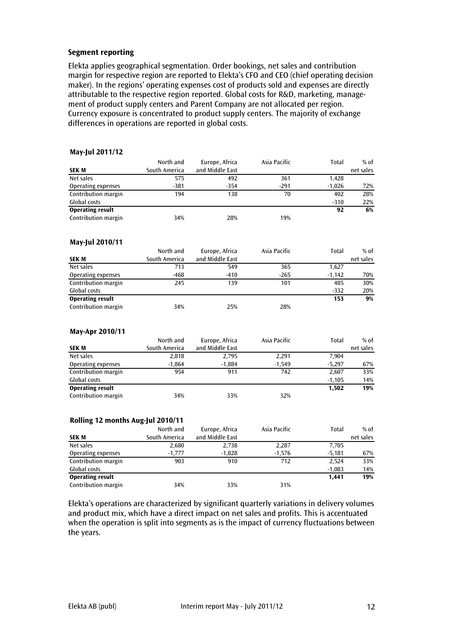#### **Segment reporting**

Elekta applies geographical segmentation. Order bookings, net sales and contribution margin for respective region are reported to Elekta's CFO and CEO (chief operating decision maker). In the regions' operating expenses cost of products sold and expenses are directly attributable to the respective region reported. Global costs for R&D, marketing, management of product supply centers and Parent Company are not allocated per region. Currency exposure is concentrated to product supply centers. The majority of exchange differences in operations are reported in global costs.

#### **May-Jul 2011/12**

|                         | North and     | Europe, Africa  | Asia Pacific | Total    | $%$ of    |
|-------------------------|---------------|-----------------|--------------|----------|-----------|
| <b>SEK M</b>            | South America | and Middle East |              |          | net sales |
| Net sales               | 575           | 492             | 361          | 1,428    |           |
| Operating expenses      | $-381$        | $-354$          | $-291$       | $-1.026$ | 72%       |
| Contribution margin     | 194           | 138             | 70           | 402      | 28%       |
| Global costs            |               |                 |              | $-310$   | 22%       |
| <b>Operating result</b> |               |                 |              | 92       | 6%        |
| Contribution margin     | 34%           | 28%             | 19%          |          |           |

#### **May-Jul 2010/11**

|                         | North and     | Europe, Africa  | Asia Pacific | Total    | % of      |
|-------------------------|---------------|-----------------|--------------|----------|-----------|
| <b>SEK M</b>            | South America | and Middle East |              |          | net sales |
| Net sales               | 713           | 549             | 365          | 1,627    |           |
| Operating expenses      | -468          | $-410$          | $-265$       | $-1.142$ | 70%       |
| Contribution margin     | 245           | 139             | 101          | 485      | 30%       |
| Global costs            |               |                 |              | $-332$   | 20%       |
| <b>Operating result</b> |               |                 |              | 153      | 9%        |
| Contribution margin     | 34%           | 25%             | 28%          |          |           |

#### **May-Apr 2010/11**

|                         | North and     | Europe, Africa  | Asia Pacific | Total    | $%$ of    |
|-------------------------|---------------|-----------------|--------------|----------|-----------|
| <b>SEK M</b>            | South America | and Middle East |              |          | net sales |
| Net sales               | 2,818         | 2,795           | 2,291        | 7,904    |           |
| Operating expenses      | $-1,864$      | $-1.884$        | $-1.549$     | $-5.297$ | 67%       |
| Contribution margin     | 954           | 911             | 742          | 2,607    | 33%       |
| Global costs            |               |                 |              | $-1.105$ | 14%       |
| <b>Operating result</b> |               |                 |              | 1,502    | 19%       |
| Contribution margin     | 34%           | 33%             | 32%          |          |           |

#### **Rolling 12 months Aug-Jul 2010/11**

| <b>SEK M</b>            | North and<br>South America | Europe, Africa<br>and Middle East | Asia Pacific | Total    | $%$ of<br>net sales |
|-------------------------|----------------------------|-----------------------------------|--------------|----------|---------------------|
| Net sales               | 2,680                      | 2,738                             | 2,287        | 7,705    |                     |
| Operating expenses      | $-1,777$                   | $-1,828$                          | $-1,576$     | $-5.181$ | 67%                 |
| Contribution margin     | 903                        | 910                               | 712          | 2.524    | 33%                 |
| Global costs            |                            |                                   |              | $-1,083$ | 14%                 |
| <b>Operating result</b> |                            |                                   |              | 1.441    | 19%                 |
| Contribution margin     | 34%                        | 33%                               | 31%          |          |                     |

Elekta's operations are characterized by significant quarterly variations in delivery volumes and product mix, which have a direct impact on net sales and profits. This is accentuated when the operation is split into segments as is the impact of currency fluctuations between the years.